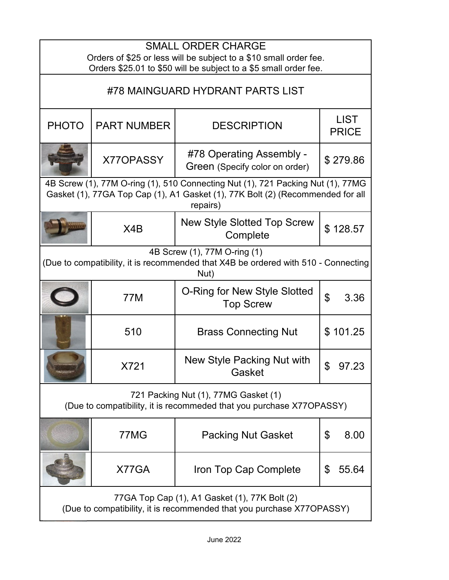| <b>SMALL ORDER CHARGE</b><br>Orders of \$25 or less will be subject to a \$10 small order fee.<br>Orders \$25.01 to \$50 will be subject to a \$5 small order fee.            |                    |                                                            |                             |  |
|-------------------------------------------------------------------------------------------------------------------------------------------------------------------------------|--------------------|------------------------------------------------------------|-----------------------------|--|
| #78 MAINGUARD HYDRANT PARTS LIST                                                                                                                                              |                    |                                                            |                             |  |
| <b>PHOTO</b>                                                                                                                                                                  | <b>PART NUMBER</b> | <b>DESCRIPTION</b>                                         | <b>LIST</b><br><b>PRICE</b> |  |
|                                                                                                                                                                               | X770PASSY          | #78 Operating Assembly -<br>Green (Specify color on order) | \$279.86                    |  |
| 4B Screw (1), 77M O-ring (1), 510 Connecting Nut (1), 721 Packing Nut (1), 77MG<br>Gasket (1), 77GA Top Cap (1), A1 Gasket (1), 77K Bolt (2) (Recommended for all<br>repairs) |                    |                                                            |                             |  |
|                                                                                                                                                                               | X4B                | <b>New Style Slotted Top Screw</b><br>Complete             | \$128.57                    |  |
| 4B Screw (1), 77M O-ring (1)<br>(Due to compatibility, it is recommended that X4B be ordered with 510 - Connecting<br>Nut)                                                    |                    |                                                            |                             |  |
|                                                                                                                                                                               | <b>77M</b>         | O-Ring for New Style Slotted<br><b>Top Screw</b>           | $\mathfrak{S}$<br>3.36      |  |
|                                                                                                                                                                               | 510                | <b>Brass Connecting Nut</b>                                | \$101.25                    |  |
|                                                                                                                                                                               | X721               | New Style Packing Nut with<br>Gasket                       | 97.23                       |  |
| 721 Packing Nut (1), 77MG Gasket (1)<br>(Due to compatibility, it is recommeded that you purchase X77OPASSY)                                                                  |                    |                                                            |                             |  |
|                                                                                                                                                                               | 77MG               | <b>Packing Nut Gasket</b>                                  | \$<br>8.00                  |  |
|                                                                                                                                                                               | X77GA              | Iron Top Cap Complete                                      | \$<br>55.64                 |  |
| 77GA Top Cap (1), A1 Gasket (1), 77K Bolt (2)<br>(Due to compatibility, it is recommended that you purchase X77OPASSY)                                                        |                    |                                                            |                             |  |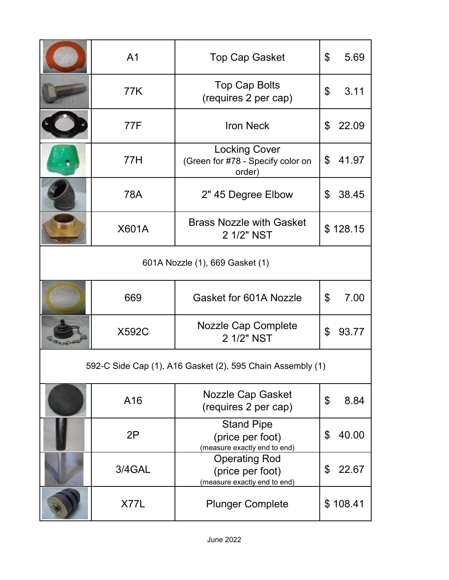|                                                            | A <sub>1</sub> | <b>Top Cap Gasket</b>                                                    | \$ | 5.69     |
|------------------------------------------------------------|----------------|--------------------------------------------------------------------------|----|----------|
|                                                            | 77K            | <b>Top Cap Bolts</b><br>(requires 2 per cap)                             | \$ | 3.11     |
|                                                            | 77F            | <b>Iron Neck</b>                                                         | \$ | 22.09    |
|                                                            | 77H            | <b>Locking Cover</b><br>(Green for #78 - Specify color on<br>order)      | \$ | 41.97    |
|                                                            | 78A            | 2" 45 Degree Elbow                                                       | \$ | 38.45    |
|                                                            | X601A          | <b>Brass Nozzle with Gasket</b><br>2 1/2" NST                            |    | \$128.15 |
| 601A Nozzle (1), 669 Gasket (1)                            |                |                                                                          |    |          |
|                                                            | 669            | Gasket for 601A Nozzle                                                   | \$ | 7.00     |
|                                                            | <b>X592C</b>   | <b>Nozzle Cap Complete</b><br>2 1/2" NST                                 | \$ | 93.77    |
| 592-C Side Cap (1), A16 Gasket (2), 595 Chain Assembly (1) |                |                                                                          |    |          |
|                                                            | A16            | <b>Nozzle Cap Gasket</b><br>(requires 2 per cap)                         | \$ | 8.84     |
|                                                            | 2P             | <b>Stand Pipe</b><br>(price per foot)<br>(measure exactly end to end)    | \$ | 40.00    |
|                                                            | 3/4GAL         | <b>Operating Rod</b><br>(price per foot)<br>(measure exactly end to end) | \$ | 22.67    |
|                                                            | X77L           | <b>Plunger Complete</b>                                                  |    | \$108.41 |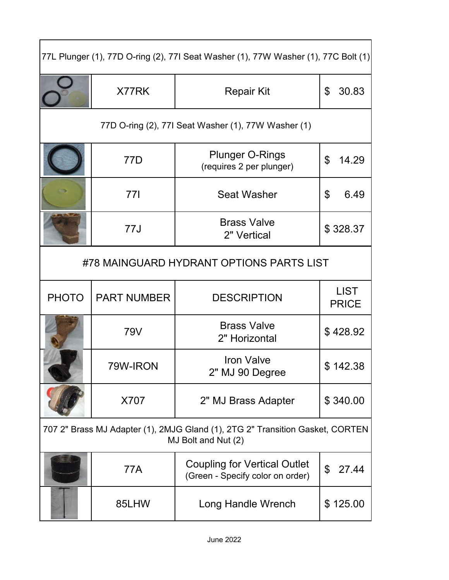| 77L Plunger (1), 77D O-ring (2), 77I Seat Washer (1), 77W Washer (1), 77C Bolt (1) |                    |                                                                                                      |                             |  |
|------------------------------------------------------------------------------------|--------------------|------------------------------------------------------------------------------------------------------|-----------------------------|--|
|                                                                                    | X77RK              | <b>Repair Kit</b>                                                                                    | 30.83<br>\$                 |  |
| 77D O-ring (2), 77I Seat Washer (1), 77W Washer (1)                                |                    |                                                                                                      |                             |  |
|                                                                                    | 77D                | <b>Plunger O-Rings</b><br>(requires 2 per plunger)                                                   | \$<br>14.29                 |  |
|                                                                                    | 77I                | <b>Seat Washer</b>                                                                                   | 6.49<br>\$                  |  |
|                                                                                    | 77J                | <b>Brass Valve</b><br>2" Vertical                                                                    | \$328.37                    |  |
| #78 MAINGUARD HYDRANT OPTIONS PARTS LIST                                           |                    |                                                                                                      |                             |  |
|                                                                                    |                    |                                                                                                      |                             |  |
| <b>PHOTO</b>                                                                       | <b>PART NUMBER</b> | <b>DESCRIPTION</b>                                                                                   | <b>LIST</b><br><b>PRICE</b> |  |
|                                                                                    | 79V                | <b>Brass Valve</b><br>2" Horizontal                                                                  | \$428.92                    |  |
|                                                                                    | 79W-IRON           | <b>Iron Valve</b><br>2" MJ 90 Degree                                                                 | \$142.38                    |  |
|                                                                                    | X707               | 2" MJ Brass Adapter                                                                                  | \$340.00                    |  |
|                                                                                    |                    | 707 2" Brass MJ Adapter (1), 2MJG Gland (1), 2TG 2" Transition Gasket, CORTEN<br>MJ Bolt and Nut (2) |                             |  |
|                                                                                    | <b>77A</b>         | <b>Coupling for Vertical Outlet</b><br>(Green - Specify color on order)                              | \$<br>27.44                 |  |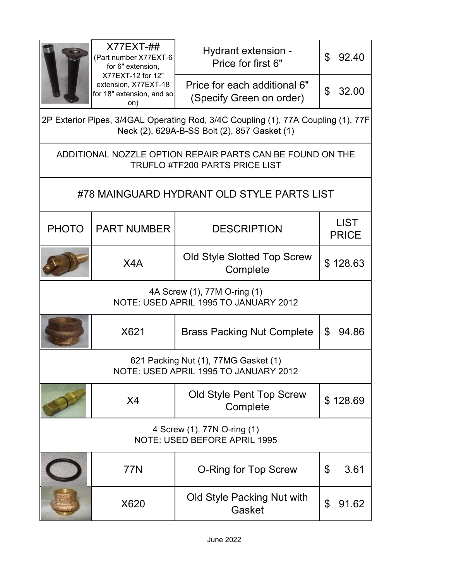|                                                                                                    | $X77EXT-##$<br>(Part number X77EXT-6<br>for 6" extension,<br>X77EXT-12 for 12"<br>extension, X77EXT-18<br>for 18" extension, and so<br>on) | Hydrant extension -<br>Price for first 6"                | \$<br>92.40                 |  |  |  |
|----------------------------------------------------------------------------------------------------|--------------------------------------------------------------------------------------------------------------------------------------------|----------------------------------------------------------|-----------------------------|--|--|--|
|                                                                                                    |                                                                                                                                            | Price for each additional 6"<br>(Specify Green on order) | \$<br>32.00                 |  |  |  |
|                                                                                                    | 2P Exterior Pipes, 3/4GAL Operating Rod, 3/4C Coupling (1), 77A Coupling (1), 77F<br>Neck (2), 629A-B-SS Bolt (2), 857 Gasket (1)          |                                                          |                             |  |  |  |
| ADDITIONAL NOZZLE OPTION REPAIR PARTS CAN BE FOUND ON THE<br><b>TRUFLO #TF200 PARTS PRICE LIST</b> |                                                                                                                                            |                                                          |                             |  |  |  |
| #78 MAINGUARD HYDRANT OLD STYLE PARTS LIST                                                         |                                                                                                                                            |                                                          |                             |  |  |  |
| <b>PHOTO</b>                                                                                       | <b>PART NUMBER</b>                                                                                                                         | <b>DESCRIPTION</b>                                       | <b>LIST</b><br><b>PRICE</b> |  |  |  |
|                                                                                                    | X4A                                                                                                                                        | Old Style Slotted Top Screw<br>Complete                  | \$128.63                    |  |  |  |
| 4A Screw (1), 77M O-ring (1)<br>NOTE: USED APRIL 1995 TO JANUARY 2012                              |                                                                                                                                            |                                                          |                             |  |  |  |
|                                                                                                    | X621                                                                                                                                       | <b>Brass Packing Nut Complete</b>                        | $\mathfrak{L}$<br>94.86     |  |  |  |
| 621 Packing Nut (1), 77MG Gasket (1)<br>NOTE: USED APRIL 1995 TO JANUARY 2012                      |                                                                                                                                            |                                                          |                             |  |  |  |
|                                                                                                    | X4                                                                                                                                         | Old Style Pent Top Screw<br>Complete                     | \$128.69                    |  |  |  |
| 4 Screw (1), 77N O-ring (1)<br>NOTE: USED BEFORE APRIL 1995                                        |                                                                                                                                            |                                                          |                             |  |  |  |
|                                                                                                    | 77N                                                                                                                                        | <b>O-Ring for Top Screw</b>                              | \$<br>3.61                  |  |  |  |
|                                                                                                    | X620                                                                                                                                       | Old Style Packing Nut with<br>Gasket                     | \$<br>91.62                 |  |  |  |